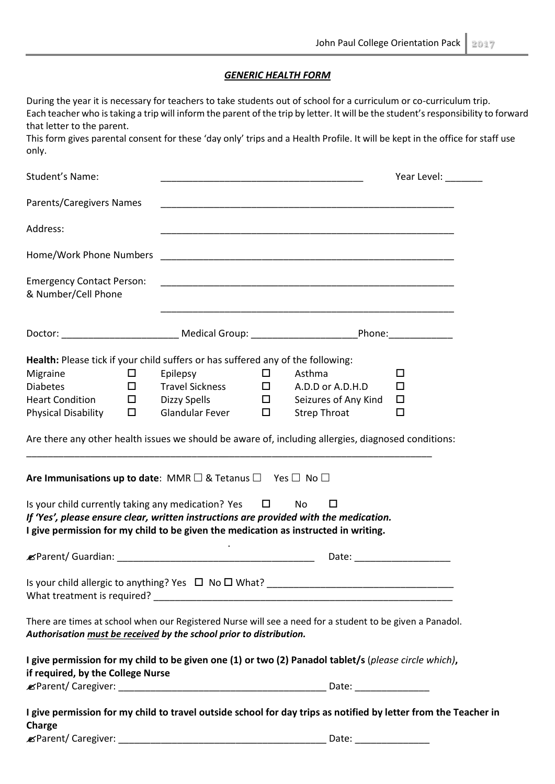## *GENERIC HEALTH FORM*

| During the year it is necessary for teachers to take students out of school for a curriculum or co-curriculum trip.<br>that letter to the parent.<br>This form gives parental consent for these 'day only' trips and a Health Profile. It will be kept in the office for staff use<br>only.                           |                                                                       |                                      |                                                                           | Each teacher who is taking a trip will inform the parent of the trip by letter. It will be the student's responsibility to forward |
|-----------------------------------------------------------------------------------------------------------------------------------------------------------------------------------------------------------------------------------------------------------------------------------------------------------------------|-----------------------------------------------------------------------|--------------------------------------|---------------------------------------------------------------------------|------------------------------------------------------------------------------------------------------------------------------------|
| Student's Name:                                                                                                                                                                                                                                                                                                       |                                                                       |                                      |                                                                           | Year Level: ________                                                                                                               |
| Parents/Caregivers Names                                                                                                                                                                                                                                                                                              |                                                                       |                                      |                                                                           |                                                                                                                                    |
| Address:                                                                                                                                                                                                                                                                                                              |                                                                       |                                      |                                                                           |                                                                                                                                    |
|                                                                                                                                                                                                                                                                                                                       |                                                                       |                                      |                                                                           |                                                                                                                                    |
| <b>Emergency Contact Person:</b><br>& Number/Cell Phone                                                                                                                                                                                                                                                               |                                                                       |                                      | <u> 1989 - Johann Stoff, amerikansk politiker (d. 1989)</u>               |                                                                                                                                    |
| Doctor: __________________________________Medical Group: ______________________________Phone:________________                                                                                                                                                                                                         |                                                                       |                                      |                                                                           |                                                                                                                                    |
| Health: Please tick if your child suffers or has suffered any of the following:<br>Migraine<br>$\Box$<br><b>Diabetes</b><br>$\Box$<br><b>Heart Condition</b><br>$\Box$<br><b>Physical Disability</b><br>$\Box$<br>Are there any other health issues we should be aware of, including allergies, diagnosed conditions: | Epilepsy<br><b>Travel Sickness</b><br>Dizzy Spells<br>Glandular Fever | $\Box$<br>$\Box$<br>$\Box$<br>$\Box$ | Asthma<br>A.D.D or A.D.H.D<br>Seizures of Any Kind<br><b>Strep Throat</b> | □<br>□<br>$\Box$<br>$\Box$                                                                                                         |
| Are Immunisations up to date: MMR $\Box$ & Tetanus $\Box$ Yes $\Box$ No $\Box$                                                                                                                                                                                                                                        |                                                                       |                                      |                                                                           |                                                                                                                                    |
| Is your child currently taking any medication? Yes<br>If 'Yes', please ensure clear, written instructions are provided with the medication.<br>I give permission for my child to be given the medication as instructed in writing.                                                                                    |                                                                       | $\Box$                               | No<br>□                                                                   |                                                                                                                                    |
|                                                                                                                                                                                                                                                                                                                       |                                                                       |                                      |                                                                           |                                                                                                                                    |
|                                                                                                                                                                                                                                                                                                                       |                                                                       |                                      |                                                                           |                                                                                                                                    |
| There are times at school when our Registered Nurse will see a need for a student to be given a Panadol.<br>Authorisation must be received by the school prior to distribution.                                                                                                                                       |                                                                       |                                      |                                                                           |                                                                                                                                    |
| I give permission for my child to be given one (1) or two (2) Panadol tablet/s (please circle which),<br>if required, by the College Nurse                                                                                                                                                                            |                                                                       |                                      |                                                                           |                                                                                                                                    |
|                                                                                                                                                                                                                                                                                                                       |                                                                       |                                      |                                                                           |                                                                                                                                    |
| I give permission for my child to travel outside school for day trips as notified by letter from the Teacher in<br>Charge                                                                                                                                                                                             |                                                                       |                                      |                                                                           |                                                                                                                                    |
|                                                                                                                                                                                                                                                                                                                       |                                                                       |                                      | Date: ________________                                                    |                                                                                                                                    |